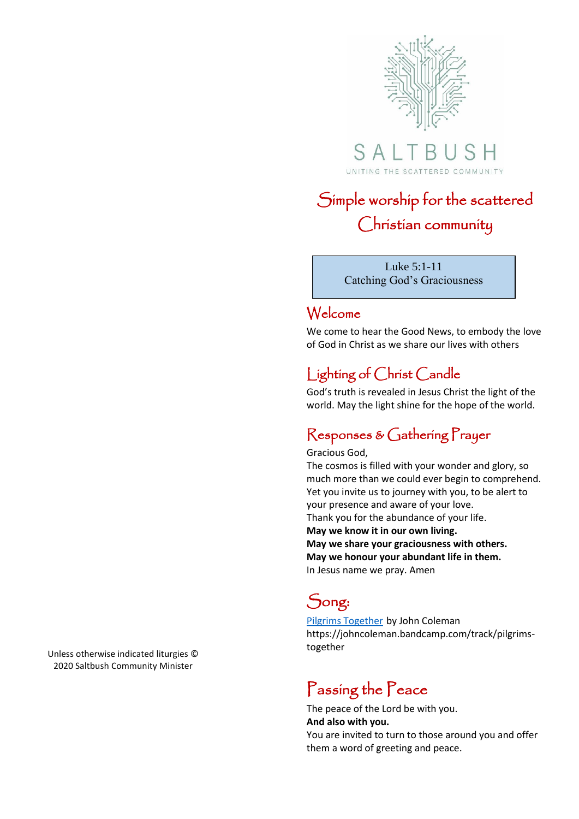

SALTB UNITING THE SCATTERED COMMUNITY

# Simple worship for the scattered Christian community

Luke 5:1-11 Catching God's Graciousness

### Welcome

We come to hear the Good News, to embody the love of God in Christ as we share our lives with others

## Lighting of Christ Candle

God's truth is revealed in Jesus Christ the light of the world. May the light shine for the hope of the world.

## Responses & Gathering Prayer

#### Gracious God,

The cosmos is filled with your wonder and glory, so much more than we could ever begin to comprehend. Yet you invite us to journey with you, to be alert to your presence and aware of your love. Thank you for the abundance of your life. **May we know it in our own living. May we share your graciousness with others. May we honour your abundant life in them.**  In Jesus name we pray. Amen

## Song:

[Pilgrims Together](https://johncoleman.bandcamp.com/track/pilgrims-together) by John Coleman https://johncoleman.bandcamp.com/track/pilgrimstogether

## Passing the Peace

The peace of the Lord be with you. **And also with you.** You are invited to turn to those around you and offer them a word of greeting and peace.

Unless otherwise indicated liturgies © 2020 Saltbush Community Minister